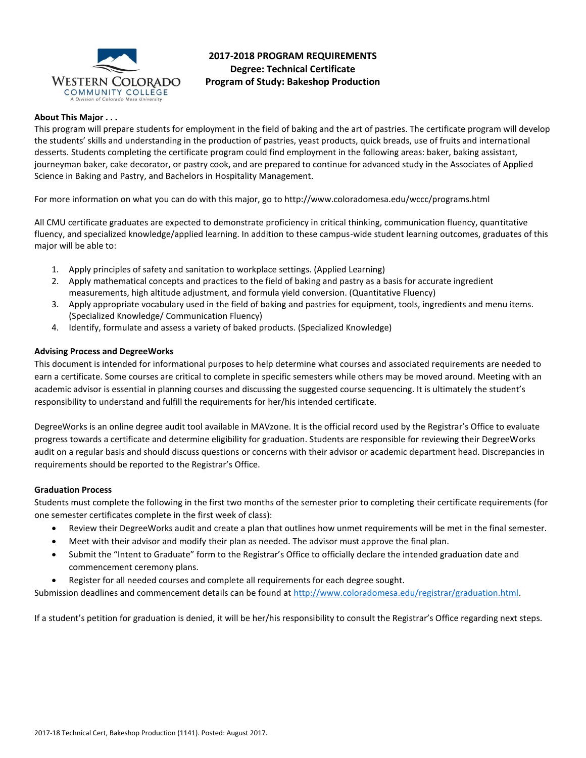

# **2017-2018 PROGRAM REQUIREMENTS Degree: Technical Certificate Program of Study: Bakeshop Production**

## **About This Major . . .**

This program will prepare students for employment in the field of baking and the art of pastries. The certificate program will develop the students' skills and understanding in the production of pastries, yeast products, quick breads, use of fruits and international desserts. Students completing the certificate program could find employment in the following areas: baker, baking assistant, journeyman baker, cake decorator, or pastry cook, and are prepared to continue for advanced study in the Associates of Applied Science in Baking and Pastry, and Bachelors in Hospitality Management.

For more information on what you can do with this major, go to http://www.coloradomesa.edu/wccc/programs.html

All CMU certificate graduates are expected to demonstrate proficiency in critical thinking, communication fluency, quantitative fluency, and specialized knowledge/applied learning. In addition to these campus-wide student learning outcomes, graduates of this major will be able to:

- 1. Apply principles of safety and sanitation to workplace settings. (Applied Learning)
- 2. Apply mathematical concepts and practices to the field of baking and pastry as a basis for accurate ingredient measurements, high altitude adjustment, and formula yield conversion. (Quantitative Fluency)
- 3. Apply appropriate vocabulary used in the field of baking and pastries for equipment, tools, ingredients and menu items. (Specialized Knowledge/ Communication Fluency)
- 4. Identify, formulate and assess a variety of baked products. (Specialized Knowledge)

## **Advising Process and DegreeWorks**

This document is intended for informational purposes to help determine what courses and associated requirements are needed to earn a certificate. Some courses are critical to complete in specific semesters while others may be moved around. Meeting with an academic advisor is essential in planning courses and discussing the suggested course sequencing. It is ultimately the student's responsibility to understand and fulfill the requirements for her/his intended certificate.

DegreeWorks is an online degree audit tool available in MAVzone. It is the official record used by the Registrar's Office to evaluate progress towards a certificate and determine eligibility for graduation. Students are responsible for reviewing their DegreeWorks audit on a regular basis and should discuss questions or concerns with their advisor or academic department head. Discrepancies in requirements should be reported to the Registrar's Office.

## **Graduation Process**

Students must complete the following in the first two months of the semester prior to completing their certificate requirements (for one semester certificates complete in the first week of class):

- Review their DegreeWorks audit and create a plan that outlines how unmet requirements will be met in the final semester.
- Meet with their advisor and modify their plan as needed. The advisor must approve the final plan.
- Submit the "Intent to Graduate" form to the Registrar's Office to officially declare the intended graduation date and commencement ceremony plans.
- Register for all needed courses and complete all requirements for each degree sought.

Submission deadlines and commencement details can be found at [http://www.coloradomesa.edu/registrar/graduation.html.](http://www.coloradomesa.edu/registrar/graduation.html)

If a student's petition for graduation is denied, it will be her/his responsibility to consult the Registrar's Office regarding next steps.